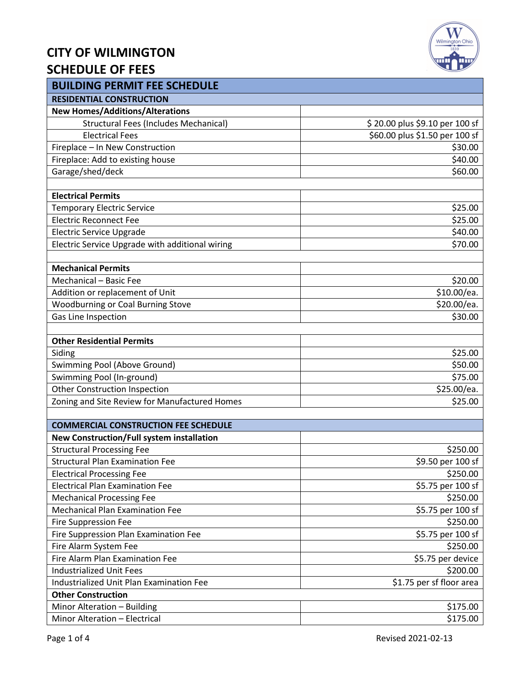## **CITY OF WILMINGTON SCHEDULE OF FEES**



| <b>BUILDING PERMIT FEE SCHEDULE</b>             |                                |  |  |  |  |
|-------------------------------------------------|--------------------------------|--|--|--|--|
| <b>RESIDENTIAL CONSTRUCTION</b>                 |                                |  |  |  |  |
| <b>New Homes/Additions/Alterations</b>          |                                |  |  |  |  |
| <b>Structural Fees (Includes Mechanical)</b>    | \$20.00 plus \$9.10 per 100 sf |  |  |  |  |
| <b>Electrical Fees</b>                          | \$60.00 plus \$1.50 per 100 sf |  |  |  |  |
| Fireplace - In New Construction                 | \$30.00                        |  |  |  |  |
| Fireplace: Add to existing house                | \$40.00                        |  |  |  |  |
| Garage/shed/deck                                | \$60.00                        |  |  |  |  |
| <b>Electrical Permits</b>                       |                                |  |  |  |  |
| <b>Temporary Electric Service</b>               | \$25.00                        |  |  |  |  |
| <b>Electric Reconnect Fee</b>                   | \$25.00                        |  |  |  |  |
| <b>Electric Service Upgrade</b>                 | \$40.00                        |  |  |  |  |
| Electric Service Upgrade with additional wiring | \$70.00                        |  |  |  |  |
| <b>Mechanical Permits</b>                       |                                |  |  |  |  |
| Mechanical - Basic Fee                          | \$20.00                        |  |  |  |  |
| Addition or replacement of Unit                 | \$10.00/ea.                    |  |  |  |  |
| <b>Woodburning or Coal Burning Stove</b>        | \$20.00/ea.                    |  |  |  |  |
| Gas Line Inspection                             | \$30.00                        |  |  |  |  |
|                                                 |                                |  |  |  |  |
| <b>Other Residential Permits</b>                |                                |  |  |  |  |
| Siding                                          | \$25.00                        |  |  |  |  |
| Swimming Pool (Above Ground)                    | \$50.00                        |  |  |  |  |
| Swimming Pool (In-ground)                       | \$75.00                        |  |  |  |  |
| <b>Other Construction Inspection</b>            | \$25.00/ea.                    |  |  |  |  |
| Zoning and Site Review for Manufactured Homes   | \$25.00                        |  |  |  |  |
| <b>COMMERCIAL CONSTRUCTION FEE SCHEDULE</b>     |                                |  |  |  |  |
| New Construction/Full system installation       |                                |  |  |  |  |
| <b>Structural Processing Fee</b>                | \$250.00                       |  |  |  |  |
| <b>Structural Plan Examination Fee</b>          | \$9.50 per 100 sf              |  |  |  |  |
| <b>Electrical Processing Fee</b>                | \$250.00                       |  |  |  |  |
| <b>Electrical Plan Examination Fee</b>          | \$5.75 per 100 sf              |  |  |  |  |
| <b>Mechanical Processing Fee</b>                | \$250.00                       |  |  |  |  |
| Mechanical Plan Examination Fee                 | \$5.75 per 100 sf              |  |  |  |  |
| <b>Fire Suppression Fee</b>                     | \$250.00                       |  |  |  |  |
| Fire Suppression Plan Examination Fee           | \$5.75 per 100 sf              |  |  |  |  |
| Fire Alarm System Fee                           | \$250.00                       |  |  |  |  |
| Fire Alarm Plan Examination Fee                 | \$5.75 per device              |  |  |  |  |
| <b>Industrialized Unit Fees</b>                 | \$200.00                       |  |  |  |  |
|                                                 |                                |  |  |  |  |
| Industrialized Unit Plan Examination Fee        | \$1.75 per sf floor area       |  |  |  |  |
| <b>Other Construction</b>                       |                                |  |  |  |  |
| Minor Alteration - Building                     | \$175.00                       |  |  |  |  |
| Minor Alteration - Electrical                   | \$175.00                       |  |  |  |  |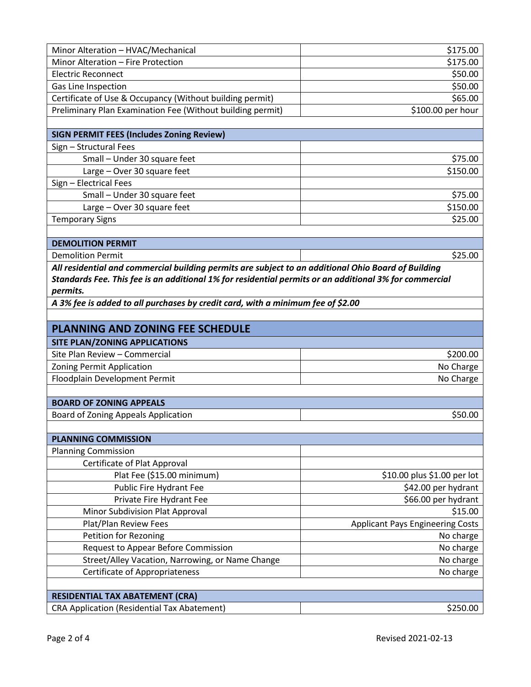| Minor Alteration - HVAC/Mechanical                                                                     | \$175.00                                |  |  |  |
|--------------------------------------------------------------------------------------------------------|-----------------------------------------|--|--|--|
| Minor Alteration - Fire Protection                                                                     | \$175.00                                |  |  |  |
| <b>Electric Reconnect</b>                                                                              | \$50.00                                 |  |  |  |
| Gas Line Inspection                                                                                    | \$50.00                                 |  |  |  |
| Certificate of Use & Occupancy (Without building permit)                                               | \$65.00                                 |  |  |  |
| Preliminary Plan Examination Fee (Without building permit)                                             | \$100.00 per hour                       |  |  |  |
|                                                                                                        |                                         |  |  |  |
| <b>SIGN PERMIT FEES (Includes Zoning Review)</b>                                                       |                                         |  |  |  |
| Sign - Structural Fees                                                                                 |                                         |  |  |  |
| Small - Under 30 square feet                                                                           | \$75.00                                 |  |  |  |
| Large - Over 30 square feet                                                                            | \$150.00                                |  |  |  |
| Sign - Electrical Fees                                                                                 |                                         |  |  |  |
| Small - Under 30 square feet                                                                           | \$75.00                                 |  |  |  |
| Large - Over 30 square feet                                                                            | \$150.00                                |  |  |  |
| <b>Temporary Signs</b>                                                                                 | \$25.00                                 |  |  |  |
|                                                                                                        |                                         |  |  |  |
| <b>DEMOLITION PERMIT</b>                                                                               |                                         |  |  |  |
| <b>Demolition Permit</b>                                                                               | \$25.00                                 |  |  |  |
| All residential and commercial building permits are subject to an additional Ohio Board of Building    |                                         |  |  |  |
| Standards Fee. This fee is an additional 1% for residential permits or an additional 3% for commercial |                                         |  |  |  |
| permits.                                                                                               |                                         |  |  |  |
| A 3% fee is added to all purchases by credit card, with a minimum fee of \$2.00                        |                                         |  |  |  |
|                                                                                                        |                                         |  |  |  |
| <b>PLANNING AND ZONING FEE SCHEDULE</b>                                                                |                                         |  |  |  |
| SITE PLAN/ZONING APPLICATIONS                                                                          |                                         |  |  |  |
| Site Plan Review - Commercial                                                                          | \$200.00                                |  |  |  |
| Zoning Permit Application                                                                              | No Charge                               |  |  |  |
| Floodplain Development Permit                                                                          | No Charge                               |  |  |  |
|                                                                                                        |                                         |  |  |  |
| <b>BOARD OF ZONING APPEALS</b>                                                                         |                                         |  |  |  |
|                                                                                                        |                                         |  |  |  |
| Board of Zoning Appeals Application                                                                    | \$50.00                                 |  |  |  |
|                                                                                                        |                                         |  |  |  |
| <b>PLANNING COMMISSION</b>                                                                             |                                         |  |  |  |
| <b>Planning Commission</b>                                                                             |                                         |  |  |  |
| Certificate of Plat Approval                                                                           |                                         |  |  |  |
| Plat Fee (\$15.00 minimum)                                                                             | \$10.00 plus \$1.00 per lot             |  |  |  |
| Public Fire Hydrant Fee                                                                                | \$42.00 per hydrant                     |  |  |  |
| Private Fire Hydrant Fee                                                                               | \$66.00 per hydrant                     |  |  |  |
| Minor Subdivision Plat Approval                                                                        | \$15.00                                 |  |  |  |
| Plat/Plan Review Fees                                                                                  | <b>Applicant Pays Engineering Costs</b> |  |  |  |
| <b>Petition for Rezoning</b>                                                                           | No charge                               |  |  |  |
| <b>Request to Appear Before Commission</b>                                                             | No charge                               |  |  |  |
| Street/Alley Vacation, Narrowing, or Name Change                                                       | No charge                               |  |  |  |
| <b>Certificate of Appropriateness</b>                                                                  | No charge                               |  |  |  |
|                                                                                                        |                                         |  |  |  |
|                                                                                                        |                                         |  |  |  |
| <b>RESIDENTIAL TAX ABATEMENT (CRA)</b><br><b>CRA Application (Residential Tax Abatement)</b>           | \$250.00                                |  |  |  |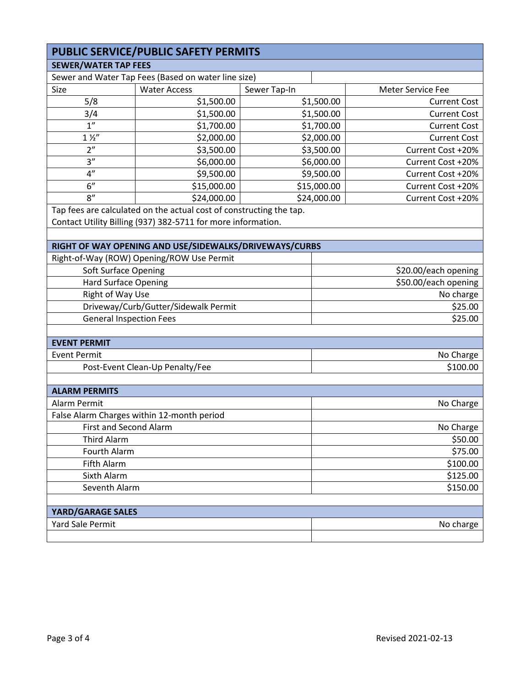| PUBLIC SERVICE/PUBLIC SAFETY PERMITS |                                                                     |              |                      |                     |  |  |  |
|--------------------------------------|---------------------------------------------------------------------|--------------|----------------------|---------------------|--|--|--|
| <b>SEWER/WATER TAP FEES</b>          |                                                                     |              |                      |                     |  |  |  |
|                                      | Sewer and Water Tap Fees (Based on water line size)                 |              |                      |                     |  |  |  |
| Size                                 | <b>Water Access</b>                                                 | Sewer Tap-In |                      | Meter Service Fee   |  |  |  |
| 5/8                                  | \$1,500.00                                                          |              | \$1,500.00           | <b>Current Cost</b> |  |  |  |
| 3/4                                  | \$1,500.00                                                          |              | \$1,500.00           | <b>Current Cost</b> |  |  |  |
| 1 <sup>n</sup>                       | \$1,700.00                                                          |              | \$1,700.00           | <b>Current Cost</b> |  |  |  |
| $1\frac{1}{2}$                       | \$2,000.00                                                          |              | \$2,000.00           | <b>Current Cost</b> |  |  |  |
| 2 <sup>n</sup>                       | \$3,500.00                                                          |              | \$3,500.00           | Current Cost +20%   |  |  |  |
| 3''                                  | \$6,000.00                                                          |              | \$6,000.00           | Current Cost +20%   |  |  |  |
| 4"                                   | \$9,500.00                                                          |              | \$9,500.00           | Current Cost +20%   |  |  |  |
| 6"                                   | \$15,000.00                                                         |              | \$15,000.00          | Current Cost +20%   |  |  |  |
| 8''                                  | \$24,000.00                                                         |              | \$24,000.00          | Current Cost +20%   |  |  |  |
|                                      | Tap fees are calculated on the actual cost of constructing the tap. |              |                      |                     |  |  |  |
|                                      | Contact Utility Billing (937) 382-5711 for more information.        |              |                      |                     |  |  |  |
|                                      |                                                                     |              |                      |                     |  |  |  |
|                                      | RIGHT OF WAY OPENING AND USE/SIDEWALKS/DRIVEWAYS/CURBS              |              |                      |                     |  |  |  |
|                                      | Right-of-Way (ROW) Opening/ROW Use Permit                           |              |                      |                     |  |  |  |
|                                      | <b>Soft Surface Opening</b>                                         |              | \$20.00/each opening |                     |  |  |  |
| <b>Hard Surface Opening</b>          |                                                                     |              | \$50.00/each opening |                     |  |  |  |
|                                      | Right of Way Use                                                    |              | No charge            |                     |  |  |  |
| Driveway/Curb/Gutter/Sidewalk Permit |                                                                     | \$25.00      |                      |                     |  |  |  |
| <b>General Inspection Fees</b>       |                                                                     | \$25.00      |                      |                     |  |  |  |
|                                      |                                                                     |              |                      |                     |  |  |  |
| <b>EVENT PERMIT</b>                  |                                                                     |              |                      |                     |  |  |  |
| <b>Event Permit</b>                  |                                                                     |              | No Charge            |                     |  |  |  |
|                                      | Post-Event Clean-Up Penalty/Fee                                     |              | \$100.00             |                     |  |  |  |
|                                      |                                                                     |              |                      |                     |  |  |  |
| <b>ALARM PERMITS</b>                 |                                                                     |              |                      |                     |  |  |  |
| Alarm Permit                         |                                                                     |              |                      | No Charge           |  |  |  |
|                                      | False Alarm Charges within 12-month period                          |              |                      |                     |  |  |  |
|                                      | First and Second Alarm                                              |              | No Charge            |                     |  |  |  |
| <b>Third Alarm</b>                   |                                                                     |              |                      | \$50.00             |  |  |  |
| Fourth Alarm                         |                                                                     |              |                      | \$75.00             |  |  |  |
| Fifth Alarm                          |                                                                     |              |                      | \$100.00            |  |  |  |
| Sixth Alarm                          |                                                                     |              |                      | \$125.00            |  |  |  |
| Seventh Alarm                        |                                                                     |              |                      | \$150.00            |  |  |  |
|                                      |                                                                     |              |                      |                     |  |  |  |
| <b>YARD/GARAGE SALES</b>             |                                                                     |              |                      |                     |  |  |  |
| <b>Yard Sale Permit</b>              |                                                                     |              |                      | No charge           |  |  |  |
|                                      |                                                                     |              |                      |                     |  |  |  |